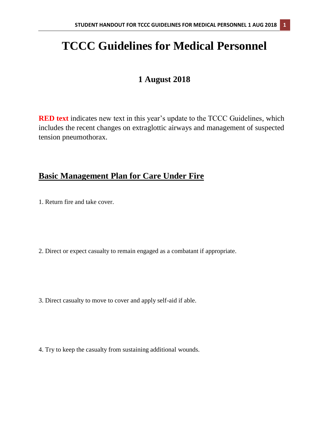# **TCCC Guidelines for Medical Personnel**

# **1 August 2018**

**RED text** indicates new text in this year's update to the TCCC Guidelines, which includes the recent changes on extraglottic airways and management of suspected tension pneumothorax.

# **Basic Management Plan for Care Under Fire**

1. Return fire and take cover.

2. Direct or expect casualty to remain engaged as a combatant if appropriate.

3. Direct casualty to move to cover and apply self-aid if able.

4. Try to keep the casualty from sustaining additional wounds.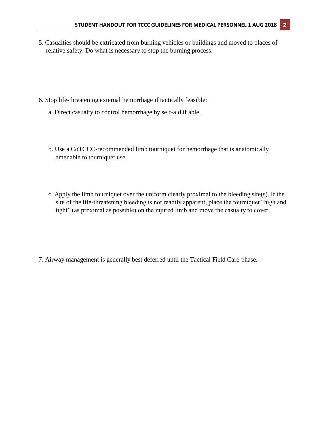- 5. Casualties should be extricated from burning vehicles or buildings and moved to places of relative safety. Do what is necessary to stop the burning process.
- 6. Stop life-threatening external hemorrhage if tactically feasible:
	- a. Direct casualty to control hemorrhage by self-aid if able.
	- b. Use a CoTCCC-recommended limb tourniquet for hemorrhage that is anatomically amenable to tourniquet use.
	- c. Apply the limb tourniquet over the uniform clearly proximal to the bleeding site(s). If the site of the life-threatening bleeding is not readily apparent, place the tourniquet "high and tight" (as proximal as possible) on the injured limb and move the casualty to cover.
- 7. Airway management is generally best deferred until the Tactical Field Care phase.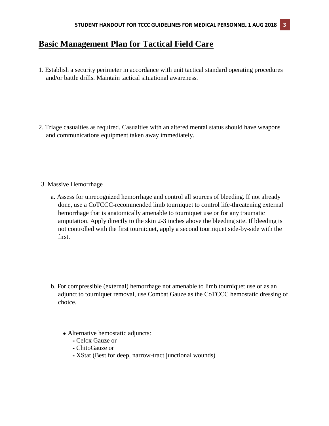# **Basic Management Plan for Tactical Field Care**

1. Establish a security perimeter in accordance with unit tactical standard operating procedures and/or battle drills. Maintain tactical situational awareness.

- 2. Triage casualties as required. Casualties with an altered mental status should have weapons and communications equipment taken away immediately.
- 3. Massive Hemorrhage
	- a. Assess for unrecognized hemorrhage and control all sources of bleeding. If not already done, use a CoTCCC-recommended limb tourniquet to control life-threatening external hemorrhage that is anatomically amenable to tourniquet use or for any traumatic amputation. Apply directly to the skin 2-3 inches above the bleeding site. If bleeding is not controlled with the first tourniquet, apply a second tourniquet side-by-side with the first.

- b. For compressible (external) hemorrhage not amenable to limb tourniquet use or as an adjunct to tourniquet removal, use Combat Gauze as the CoTCCC hemostatic dressing of choice.
	- Alternative hemostatic adjuncts:
		- ⁃ Celox Gauze or
		- ⁃ ChitoGauze or
		- ⁃ XStat (Best for deep, narrow-tract junctional wounds)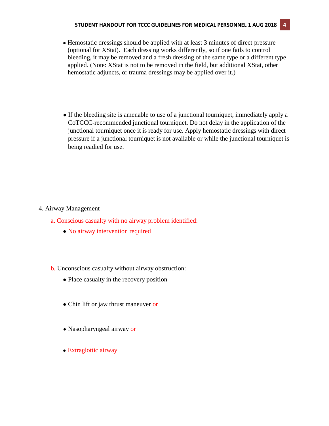- Hemostatic dressings should be applied with at least 3 minutes of direct pressure (optional for XStat). Each dressing works differently, so if one fails to control bleeding, it may be removed and a fresh dressing of the same type or a different type applied. (Note: XStat is not to be removed in the field, but additional XStat, other hemostatic adjuncts, or trauma dressings may be applied over it.)
- If the bleeding site is amenable to use of a junctional tourniquet, immediately apply a CoTCCC-recommended junctional tourniquet. Do not delay in the application of the junctional tourniquet once it is ready for use. Apply hemostatic dressings with direct pressure if a junctional tourniquet is not available or while the junctional tourniquet is being readied for use.

### 4. Airway Management

- a. Conscious casualty with no airway problem identified:
	- No airway intervention required
- b. Unconscious casualty without airway obstruction:
	- Place casualty in the recovery position
	- Chin lift or jaw thrust maneuver or
	- Nasopharyngeal airway or
	- Extraglottic airway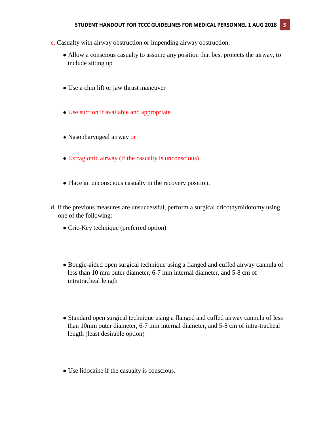- c. Casualty with airway obstruction or impending airway obstruction:
	- Allow a conscious casualty to assume any position that best protects the airway, to include sitting up
	- Use a chin lift or jaw thrust maneuver
	- Use suction if available and appropriate
	- Nasopharyngeal airway or
	- Extraglottic airway (if the casualty is unconscious)
	- Place an unconscious casualty in the recovery position.
- d. If the previous measures are unsuccessful, perform a surgical cricothyroidotomy using one of the following:
	- Cric-Key technique (preferred option)
	- Bougie-aided open surgical technique using a flanged and cuffed airway cannula of less than 10 mm outer diameter, 6-7 mm internal diameter, and 5-8 cm of intratracheal length
	- Standard open surgical technique using a flanged and cuffed airway cannula of less than 10mm outer diameter, 6-7 mm internal diameter, and 5-8 cm of intra-tracheal length (least desirable option)
	- Use lidocaine if the casualty is conscious.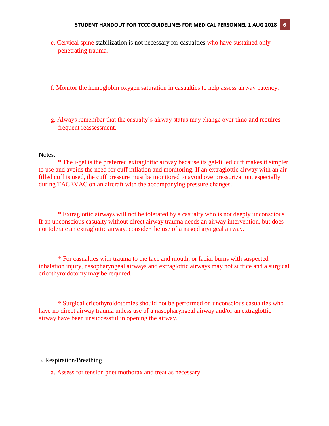- e. Cervical spine stabilization is not necessary for casualties who have sustained only penetrating trauma.
- f. Monitor the hemoglobin oxygen saturation in casualties to help assess airway patency.
- g. Always remember that the casualty's airway status may change over time and requires frequent reassessment.

#### Notes:

\* The i-gel is the preferred extraglottic airway because its gel-filled cuff makes it simpler to use and avoids the need for cuff inflation and monitoring. If an extraglottic airway with an airfilled cuff is used, the cuff pressure must be monitored to avoid overpressurization, especially during TACEVAC on an aircraft with the accompanying pressure changes.

\* Extraglottic airways will not be tolerated by a casualty who is not deeply unconscious. If an unconscious casualty without direct airway trauma needs an airway intervention, but does not tolerate an extraglottic airway, consider the use of a nasopharyngeal airway.

\* For casualties with trauma to the face and mouth, or facial burns with suspected inhalation injury, nasopharyngeal airways and extraglottic airways may not suffice and a surgical cricothyroidotomy may be required.

\* Surgical cricothyroidotomies should not be performed on unconscious casualties who have no direct airway trauma unless use of a nasopharyngeal airway and/or an extraglottic airway have been unsuccessful in opening the airway.

#### 5. Respiration/Breathing

a. Assess for tension pneumothorax and treat as necessary.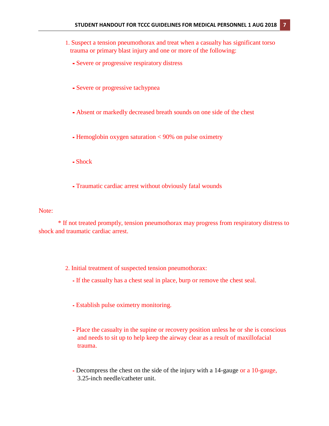- 1. Suspect a tension pneumothorax and treat when a casualty has significant torso trauma or primary blast injury and one or more of the following:
	- **⁃** Severe or progressive respiratory distress
	- **⁃** Severe or progressive tachypnea
	- **⁃** Absent or markedly decreased breath sounds on one side of the chest
	- **⁃** Hemoglobin oxygen saturation < 90% on pulse oximetry
	- **⁃** Shock
	- **⁃** Traumatic cardiac arrest without obviously fatal wounds

### Note:

\* If not treated promptly, tension pneumothorax may progress from respiratory distress to shock and traumatic cardiac arrest.

- 2. Initial treatment of suspected tension pneumothorax:
	- ⁃ If the casualty has a chest seal in place, burp or remove the chest seal.
	- ⁃ Establish pulse oximetry monitoring.
	- ⁃ Place the casualty in the supine or recovery position unless he or she is conscious and needs to sit up to help keep the airway clear as a result of maxillofacial trauma.
	- ⁃ Decompress the chest on the side of the injury with a 14-gauge or a 10-gauge, 3.25-inch needle/catheter unit.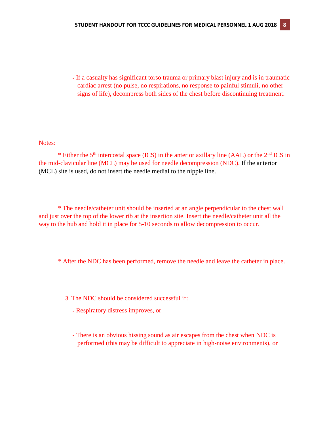⁃ If a casualty has significant torso trauma or primary blast injury and is in traumatic cardiac arrest (no pulse, no respirations, no response to painful stimuli, no other signs of life), decompress both sides of the chest before discontinuing treatment.

#### Notes:

\* Either the  $5<sup>th</sup>$  intercostal space (ICS) in the anterior axillary line (AAL) or the  $2<sup>nd</sup>$  ICS in the mid-clavicular line (MCL) may be used for needle decompression (NDC). If the anterior (MCL) site is used, do not insert the needle medial to the nipple line.

\* The needle/catheter unit should be inserted at an angle perpendicular to the chest wall and just over the top of the lower rib at the insertion site. Insert the needle/catheter unit all the way to the hub and hold it in place for 5-10 seconds to allow decompression to occur.

\* After the NDC has been performed, remove the needle and leave the catheter in place.

- 3. The NDC should be considered successful if:
	- ⁃ Respiratory distress improves, or
	- ⁃ There is an obvious hissing sound as air escapes from the chest when NDC is performed (this may be difficult to appreciate in high-noise environments), or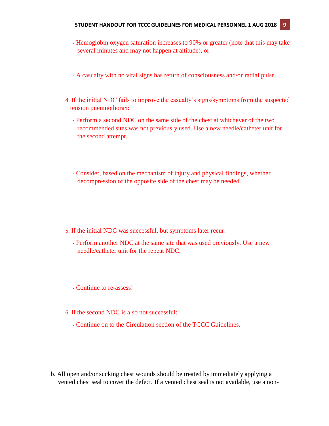- ⁃ Hemoglobin oxygen saturation increases to 90% or greater (note that this may take several minutes and may not happen at altitude), or
- ⁃ A casualty with no vital signs has return of consciousness and/or radial pulse.
- 4. If the initial NDC fails to improve the casualty's signs/symptoms from the suspected tension pneumothorax:
	- ⁃ Perform a second NDC on the same side of the chest at whichever of the two recommended sites was not previously used. Use a new needle/catheter unit for the second attempt.
	- ⁃ Consider, based on the mechanism of injury and physical findings, whether decompression of the opposite side of the chest may be needed.

- 5. If the initial NDC was successful, but symptoms later recur:
	- ⁃ Perform another NDC at the same site that was used previously. Use a new needle/catheter unit for the repeat NDC.
	- ⁃ Continue to re-assess!
- 6. If the second NDC is also not successful:
	- ⁃ Continue on to the Circulation section of the TCCC Guidelines.
- b. All open and/or sucking chest wounds should be treated by immediately applying a vented chest seal to cover the defect. If a vented chest seal is not available, use a non-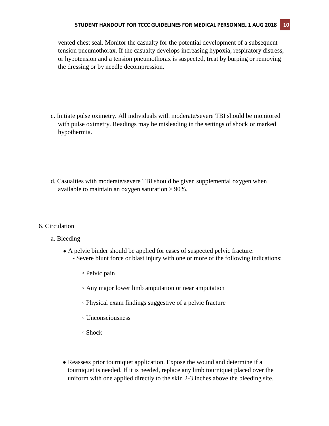vented chest seal. Monitor the casualty for the potential development of a subsequent tension pneumothorax. If the casualty develops increasing hypoxia, respiratory distress, or hypotension and a tension pneumothorax is suspected, treat by burping or removing the dressing or by needle decompression.

- c. Initiate pulse oximetry. All individuals with moderate/severe TBI should be monitored with pulse oximetry. Readings may be misleading in the settings of shock or marked hypothermia.
- d. Casualties with moderate/severe TBI should be given supplemental oxygen when available to maintain an oxygen saturation > 90%.
- 6. Circulation
	- a. Bleeding
		- A pelvic binder should be applied for cases of suspected pelvic fracture: ⁃ Severe blunt force or blast injury with one or more of the following indications:
			- Pelvic pain
			- Any major lower limb amputation or near amputation
			- Physical exam findings suggestive of a pelvic fracture
			- Unconsciousness
			- Shock
		- Reassess prior tourniquet application. Expose the wound and determine if a tourniquet is needed. If it is needed, replace any limb tourniquet placed over the uniform with one applied directly to the skin 2-3 inches above the bleeding site.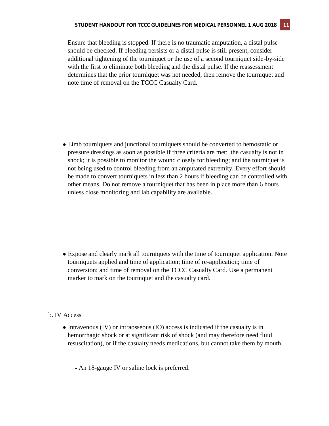Ensure that bleeding is stopped. If there is no traumatic amputation, a distal pulse should be checked. If bleeding persists or a distal pulse is still present, consider additional tightening of the tourniquet or the use of a second tourniquet side-by-side with the first to eliminate both bleeding and the distal pulse. If the reassessment determines that the prior tourniquet was not needed, then remove the tourniquet and note time of removal on the TCCC Casualty Card.

● Limb tourniquets and junctional tourniquets should be converted to hemostatic or pressure dressings as soon as possible if three criteria are met: the casualty is not in shock; it is possible to monitor the wound closely for bleeding; and the tourniquet is not being used to control bleeding from an amputated extremity. Every effort should be made to convert tourniquets in less than 2 hours if bleeding can be controlled with other means. Do not remove a tourniquet that has been in place more than 6 hours unless close monitoring and lab capability are available.

• Expose and clearly mark all tourniquets with the time of tourniquet application. Note tourniquets applied and time of application; time of re-application; time of conversion; and time of removal on the TCCC Casualty Card. Use a permanent marker to mark on the tourniquet and the casualty card.

#### b. IV Access

- Intravenous (IV) or intraosseous (IO) access is indicated if the casualty is in hemorrhagic shock or at significant risk of shock (and may therefore need fluid resuscitation), or if the casualty needs medications, but cannot take them by mouth.
	- ⁃ An 18-gauge IV or saline lock is preferred.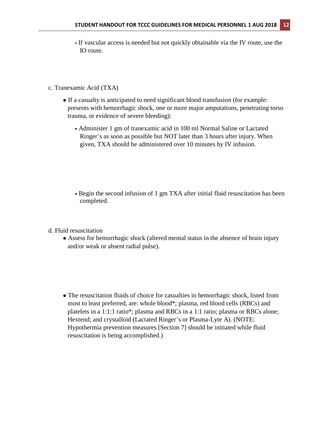- ⁃ If vascular access is needed but not quickly obtainable via the IV route, use the IO route.
- c. Tranexamic Acid (TXA)
	- If a casualty is anticipated to need significant blood transfusion (for example: presents with hemorrhagic shock, one or more major amputations, penetrating torso trauma, or evidence of severe bleeding):
		- **⁃** Administer 1 gm of tranexamic acid in 100 ml Normal Saline or Lactated Ringer's as soon as possible but NOT later than 3 hours after injury. When given, TXA should be administered over 10 minutes by IV infusion.
		- **⁃** Begin the second infusion of 1 gm TXA after initial fluid resuscitation has been completed.
- d. Fluid resuscitation
	- Assess for hemorrhagic shock (altered mental status in the absence of brain injury and/or weak or absent radial pulse).
	- The resuscitation fluids of choice for casualties in hemorrhagic shock, listed from most to least preferred, are: whole blood\*; plasma, red blood cells (RBCs) and platelets in a 1:1:1 ratio\*; plasma and RBCs in a 1:1 ratio; plasma or RBCs alone; Hextend; and crystalloid (Lactated Ringer's or Plasma-Lyte A). (NOTE: Hypothermia prevention measures [Section 7] should be initiated while fluid resuscitation is being accomplished.)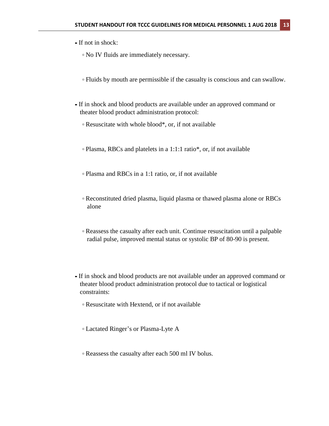- **⁃** If not in shock:
	- **◦** No IV fluids are immediately necessary.
	- **◦** Fluids by mouth are permissible if the casualty is conscious and can swallow.
- **⁃** If in shock and blood products are available under an approved command or theater blood product administration protocol:
	- **◦** Resuscitate with whole blood\*, or, if not available
	- **◦** Plasma, RBCs and platelets in a 1:1:1 ratio\*, or, if not available
	- **◦** Plasma and RBCs in a 1:1 ratio, or, if not available
	- **◦** Reconstituted dried plasma, liquid plasma or thawed plasma alone or RBCs alone
	- **◦** Reassess the casualty after each unit. Continue resuscitation until a palpable radial pulse, improved mental status or systolic BP of 80-90 is present.
- **⁃** If in shock and blood products are not available under an approved command or theater blood product administration protocol due to tactical or logistical constraints:
	- **◦** Resuscitate with Hextend, or if not available
	- **◦** Lactated Ringer's or Plasma-Lyte A
	- **◦** Reassess the casualty after each 500 ml IV bolus.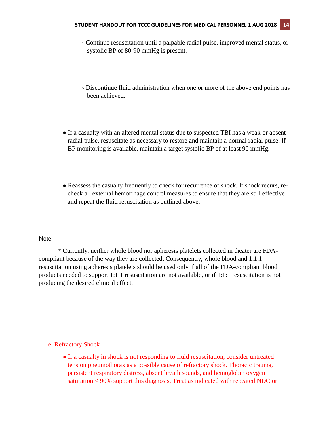- **◦** Continue resuscitation until a palpable radial pulse, improved mental status, or systolic BP of 80-90 mmHg is present.
- **◦** Discontinue fluid administration when one or more of the above end points has been achieved.
- If a casualty with an altered mental status due to suspected TBI has a weak or absent radial pulse, resuscitate as necessary to restore and maintain a normal radial pulse. If BP monitoring is available, maintain a target systolic BP of at least 90 mmHg.
- Reassess the casualty frequently to check for recurrence of shock. If shock recurs, recheck all external hemorrhage control measures to ensure that they are still effective and repeat the fluid resuscitation as outlined above.

#### Note:

\* Currently, neither whole blood nor apheresis platelets collected in theater are FDAcompliant because of the way they are collected**.** Consequently, whole blood and 1:1:1 resuscitation using apheresis platelets should be used only if all of the FDA-compliant blood products needed to support 1:1:1 resuscitation are not available, or if 1:1:1 resuscitation is not producing the desired clinical effect.

e. Refractory Shock

• If a casualty in shock is not responding to fluid resuscitation, consider untreated tension pneumothorax as a possible cause of refractory shock. Thoracic trauma, persistent respiratory distress, absent breath sounds, and hemoglobin oxygen saturation < 90% support this diagnosis. Treat as indicated with repeated NDC or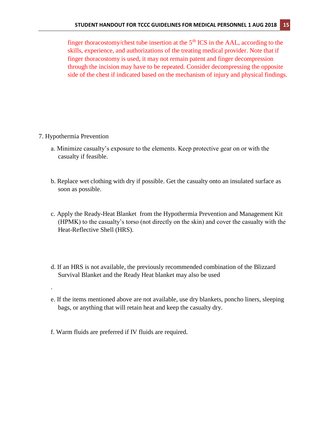finger thoracostomy/chest tube insertion at the  $5<sup>th</sup> ICS$  in the AAL, according to the skills, experience, and authorizations of the treating medical provider. Note that if finger thoracostomy is used, it may not remain patent and finger decompression through the incision may have to be repeated. Consider decompressing the opposite side of the chest if indicated based on the mechanism of injury and physical findings.

7. Hypothermia Prevention

.

- a. Minimize casualty's exposure to the elements. Keep protective gear on or with the casualty if feasible.
- b. Replace wet clothing with dry if possible. Get the casualty onto an insulated surface as soon as possible.
- c. Apply the Ready-Heat Blanket from the Hypothermia Prevention and Management Kit (HPMK) to the casualty's torso (not directly on the skin) and cover the casualty with the Heat-Reflective Shell (HRS).
- d. If an HRS is not available, the previously recommended combination of the Blizzard Survival Blanket and the Ready Heat blanket may also be used
- e. If the items mentioned above are not available, use dry blankets, poncho liners, sleeping bags, or anything that will retain heat and keep the casualty dry.
- f. Warm fluids are preferred if IV fluids are required.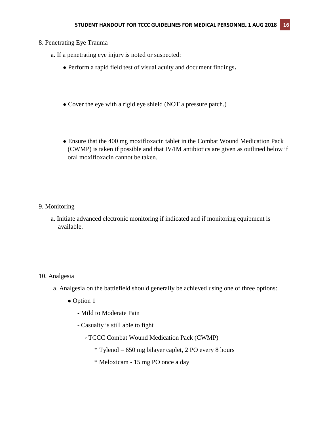## 8. Penetrating Eye Trauma

- a. If a penetrating eye injury is noted or suspected:
	- Perform a rapid field test of visual acuity and document findings**.**
	- Cover the eye with a rigid eye shield (NOT a pressure patch.)
	- Ensure that the 400 mg moxifloxacin tablet in the Combat Wound Medication Pack (CWMP) is taken if possible and that IV/IM antibiotics are given as outlined below if oral moxifloxacin cannot be taken.

- 9. Monitoring
	- a. Initiate advanced electronic monitoring if indicated and if monitoring equipment is available.

#### 10. Analgesia

- a. Analgesia on the battlefield should generally be achieved using one of three options:
	- Option 1
		- ⁃ Mild to Moderate Pain
		- Casualty is still able to fight
			- TCCC Combat Wound Medication Pack (CWMP)
				- \* Tylenol 650 mg bilayer caplet, 2 PO every 8 hours
				- \* Meloxicam 15 mg PO once a day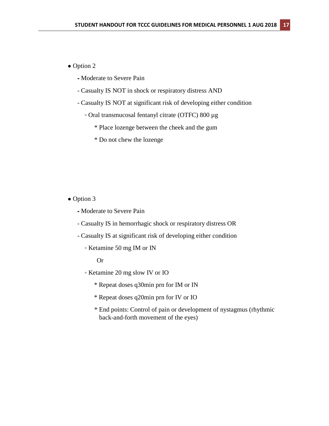## • Option 2

- ⁃ Moderate to Severe Pain
- Casualty IS NOT in shock or respiratory distress AND
- Casualty IS NOT at significant risk of developing either condition
	- Oral transmucosal fentanyl citrate (OTFC) 800 µg
		- \* Place lozenge between the cheek and the gum
		- \* Do not chew the lozenge

#### • Option 3

- ⁃ Moderate to Severe Pain
- Casualty IS in hemorrhagic shock or respiratory distress OR
- Casualty IS at significant risk of developing either condition
	- Ketamine 50 mg IM or IN

Or

- Ketamine 20 mg slow IV or IO
	- \* Repeat doses q30min prn for IM or IN
	- \* Repeat doses q20min prn for IV or IO
	- \* End points: Control of pain or development of nystagmus (rhythmic back-and-forth movement of the eyes)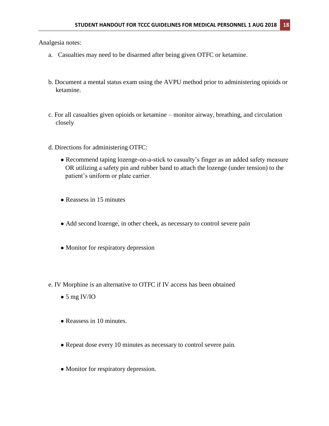Analgesia notes:

- a. Casualties may need to be disarmed after being given OTFC or ketamine.
- b. Document a mental status exam using the AVPU method prior to administering opioids or ketamine.
- c. For all casualties given opioids or ketamine monitor airway, breathing, and circulation closely
- d. Directions for administering OTFC:
	- Recommend taping lozenge-on-a-stick to casualty's finger as an added safety measure OR utilizing a safety pin and rubber band to attach the lozenge (under tension) to the patient's uniform or plate carrier.
	- Reassess in 15 minutes
	- Add second lozenge, in other cheek, as necessary to control severe pain
	- Monitor for respiratory depression
- e. IV Morphine is an alternative to OTFC if IV access has been obtained
	- $\bullet$  5 mg IV/IO
	- Reassess in 10 minutes.
	- Repeat dose every 10 minutes as necessary to control severe pain.
	- Monitor for respiratory depression.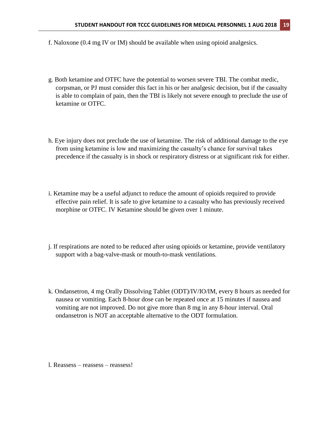- f. Naloxone (0.4 mg IV or IM) should be available when using opioid analgesics.
- g. Both ketamine and OTFC have the potential to worsen severe TBI. The combat medic, corpsman, or PJ must consider this fact in his or her analgesic decision, but if the casualty is able to complain of pain, then the TBI is likely not severe enough to preclude the use of ketamine or OTFC.
- h. Eye injury does not preclude the use of ketamine. The risk of additional damage to the eye from using ketamine is low and maximizing the casualty's chance for survival takes precedence if the casualty is in shock or respiratory distress or at significant risk for either.
- i. Ketamine may be a useful adjunct to reduce the amount of opioids required to provide effective pain relief. It is safe to give ketamine to a casualty who has previously received morphine or OTFC. IV Ketamine should be given over 1 minute.
- j. If respirations are noted to be reduced after using opioids or ketamine, provide ventilatory support with a bag-valve-mask or mouth-to-mask ventilations.
- k. Ondansetron, 4 mg Orally Dissolving Tablet (ODT)/IV/IO/IM, every 8 hours as needed for nausea or vomiting. Each 8-hour dose can be repeated once at 15 minutes if nausea and vomiting are not improved. Do not give more than 8 mg in any 8-hour interval. Oral ondansetron is NOT an acceptable alternative to the ODT formulation.

l. Reassess – reassess – reassess!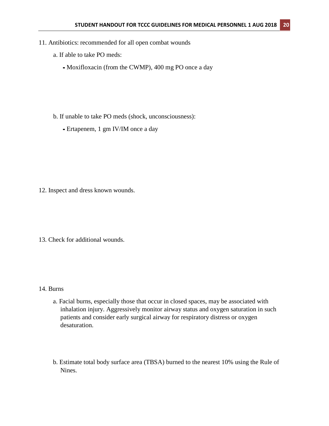- 11. Antibiotics: recommended for all open combat wounds
	- a. If able to take PO meds:
		- **⁃** Moxifloxacin (from the CWMP), 400 mg PO once a day
	- b. If unable to take PO meds (shock, unconsciousness):
		- **⁃** Ertapenem, 1 gm IV/IM once a day

- 12. Inspect and dress known wounds.
- 13. Check for additional wounds.

#### 14. Burns

- a. Facial burns, especially those that occur in closed spaces, may be associated with inhalation injury. Aggressively monitor airway status and oxygen saturation in such patients and consider early surgical airway for respiratory distress or oxygen desaturation.
- b. Estimate total body surface area (TBSA) burned to the nearest 10% using the Rule of Nines.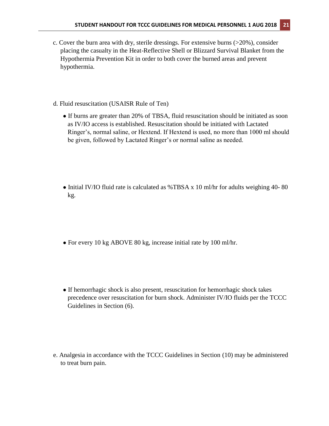- c. Cover the burn area with dry, sterile dressings. For extensive burns (>20%), consider placing the casualty in the Heat-Reflective Shell or Blizzard Survival Blanket from the Hypothermia Prevention Kit in order to both cover the burned areas and prevent hypothermia.
- d. Fluid resuscitation (USAISR Rule of Ten)
	- If burns are greater than 20% of TBSA, fluid resuscitation should be initiated as soon as IV/IO access is established. Resuscitation should be initiated with Lactated Ringer's, normal saline, or Hextend. If Hextend is used, no more than 1000 ml should be given, followed by Lactated Ringer's or normal saline as needed.
	- Initial IV/IO fluid rate is calculated as %TBSA x 10 ml/hr for adults weighing 40-80 kg.
	- For every 10 kg ABOVE 80 kg, increase initial rate by 100 ml/hr.
	- If hemorrhagic shock is also present, resuscitation for hemorrhagic shock takes precedence over resuscitation for burn shock. Administer IV/IO fluids per the TCCC Guidelines in Section (6).

e. Analgesia in accordance with the TCCC Guidelines in Section (10) may be administered to treat burn pain.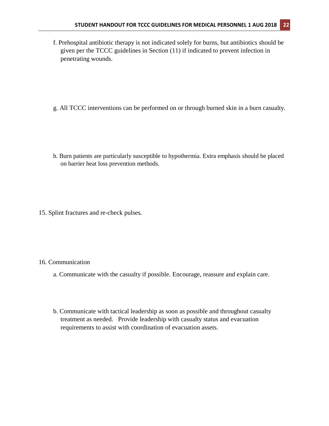- f. Prehospital antibiotic therapy is not indicated solely for burns, but antibiotics should be given per the TCCC guidelines in Section (11) if indicated to prevent infection in penetrating wounds.
- g. All TCCC interventions can be performed on or through burned skin in a burn casualty.
- h. Burn patients are particularly susceptible to hypothermia. Extra emphasis should be placed on barrier heat loss prevention methods.
- 15. Splint fractures and re-check pulses.

#### 16. Communication

- a. Communicate with the casualty if possible. Encourage, reassure and explain care.
- b. Communicate with tactical leadership as soon as possible and throughout casualty treatment as needed. Provide leadership with casualty status and evacuation requirements to assist with coordination of evacuation assets.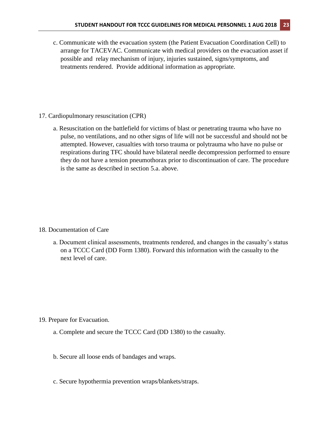c. Communicate with the evacuation system (the Patient Evacuation Coordination Cell) to arrange for TACEVAC. Communicate with medical providers on the evacuation asset if possible and relay mechanism of injury, injuries sustained, signs/symptoms, and treatments rendered. Provide additional information as appropriate.

- 17. Cardiopulmonary resuscitation (CPR)
	- a. Resuscitation on the battlefield for victims of blast or penetrating trauma who have no pulse, no ventilations, and no other signs of life will not be successful and should not be attempted. However, casualties with torso trauma or polytrauma who have no pulse or respirations during TFC should have bilateral needle decompression performed to ensure they do not have a tension pneumothorax prior to discontinuation of care. The procedure is the same as described in section 5.a. above.

- 18. Documentation of Care
	- a. Document clinical assessments, treatments rendered, and changes in the casualty's status on a TCCC Card (DD Form 1380). Forward this information with the casualty to the next level of care.

- 19. Prepare for Evacuation.
	- a. Complete and secure the TCCC Card (DD 1380) to the casualty.
	- b. Secure all loose ends of bandages and wraps.
	- c. Secure hypothermia prevention wraps/blankets/straps.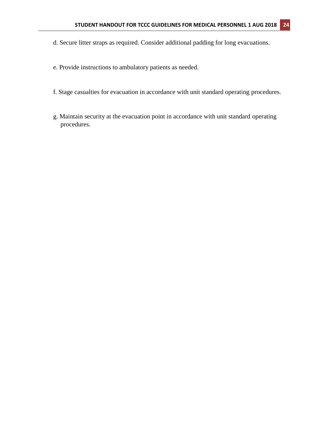- d. Secure litter straps as required. Consider additional padding for long evacuations.
- e. Provide instructions to ambulatory patients as needed.
- f. Stage casualties for evacuation in accordance with unit standard operating procedures.
- g. Maintain security at the evacuation point in accordance with unit standard operating procedures.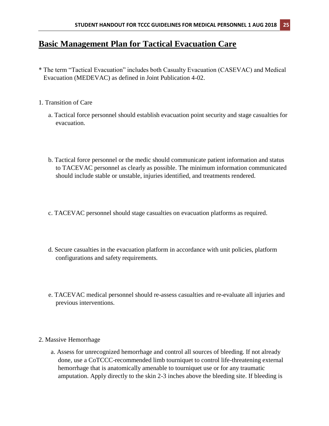# **Basic Management Plan for Tactical Evacuation Care**

- \* The term "Tactical Evacuation" includes both Casualty Evacuation (CASEVAC) and Medical Evacuation (MEDEVAC) as defined in Joint Publication 4-02.
- 1. Transition of Care
	- a. Tactical force personnel should establish evacuation point security and stage casualties for evacuation.
	- b. Tactical force personnel or the medic should communicate patient information and status to TACEVAC personnel as clearly as possible. The minimum information communicated should include stable or unstable, injuries identified, and treatments rendered.
	- c. TACEVAC personnel should stage casualties on evacuation platforms as required.
	- d. Secure casualties in the evacuation platform in accordance with unit policies, platform configurations and safety requirements.
	- e. TACEVAC medical personnel should re-assess casualties and re-evaluate all injuries and previous interventions.
- 2. Massive Hemorrhage
	- a. Assess for unrecognized hemorrhage and control all sources of bleeding. If not already done, use a CoTCCC-recommended limb tourniquet to control life-threatening external hemorrhage that is anatomically amenable to tourniquet use or for any traumatic amputation. Apply directly to the skin 2-3 inches above the bleeding site. If bleeding is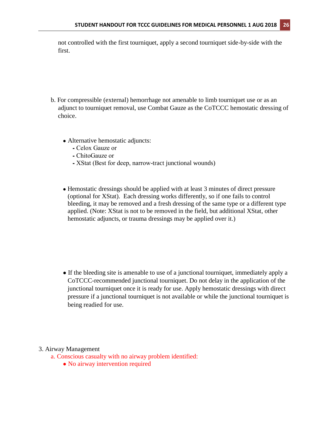not controlled with the first tourniquet, apply a second tourniquet side-by-side with the first.

- b. For compressible (external) hemorrhage not amenable to limb tourniquet use or as an adjunct to tourniquet removal, use Combat Gauze as the CoTCCC hemostatic dressing of choice.
	- Alternative hemostatic adjuncts:
		- ⁃ Celox Gauze or
		- ⁃ ChitoGauze or
		- ⁃ XStat (Best for deep, narrow-tract junctional wounds)
	- Hemostatic dressings should be applied with at least 3 minutes of direct pressure (optional for XStat). Each dressing works differently, so if one fails to control bleeding, it may be removed and a fresh dressing of the same type or a different type applied. (Note: XStat is not to be removed in the field, but additional XStat, other hemostatic adjuncts, or trauma dressings may be applied over it.)

● If the bleeding site is amenable to use of a junctional tourniquet, immediately apply a CoTCCC-recommended junctional tourniquet. Do not delay in the application of the junctional tourniquet once it is ready for use. Apply hemostatic dressings with direct pressure if a junctional tourniquet is not available or while the junctional tourniquet is being readied for use.

#### 3. Airway Management

- a. Conscious casualty with no airway problem identified:
	- No airway intervention required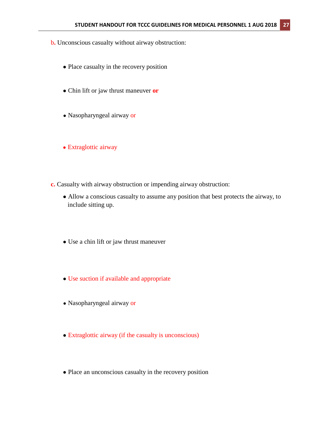- b**.** Unconscious casualty without airway obstruction:
	- Place casualty in the recovery position
	- Chin lift or jaw thrust maneuver **or**
	- Nasopharyngeal airway or
	- Extraglottic airway
- **c.** Casualty with airway obstruction or impending airway obstruction:
	- Allow a conscious casualty to assume any position that best protects the airway, to include sitting up.
	- Use a chin lift or jaw thrust maneuver
	- Use suction if available and appropriate
	- Nasopharyngeal airway or
	- Extraglottic airway (if the casualty is unconscious)
	- Place an unconscious casualty in the recovery position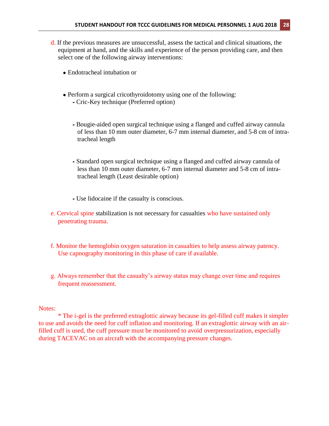- d. If the previous measures are unsuccessful, assess the tactical and clinical situations, the equipment at hand, and the skills and experience of the person providing care, and then select one of the following airway interventions:
	- Endotracheal intubation or
	- Perform a surgical cricothyroidotomy using one of the following:
		- ⁃ Cric-Key technique (Preferred option)
		- ⁃ Bougie-aided open surgical technique using a flanged and cuffed airway cannula of less than 10 mm outer diameter, 6-7 mm internal diameter, and 5-8 cm of intratracheal length
		- ⁃ Standard open surgical technique using a flanged and cuffed airway cannula of less than 10 mm outer diameter, 6-7 mm internal diameter and 5-8 cm of intratracheal length (Least desirable option)
		- ⁃ Use lidocaine if the casualty is conscious.
- e. Cervical spine stabilization is not necessary for casualties who have sustained only penetrating trauma.
- f. Monitor the hemoglobin oxygen saturation in casualties to help assess airway patency. Use capnography monitoring in this phase of care if available.
- g. Always remember that the casualty's airway status may change over time and requires frequent reassessment.

### Notes:

\* The i-gel is the preferred extraglottic airway because its gel-filled cuff makes it simpler to use and avoids the need for cuff inflation and monitoring. If an extraglottic airway with an airfilled cuff is used, the cuff pressure must be monitored to avoid overpressurization, especially during TACEVAC on an aircraft with the accompanying pressure changes.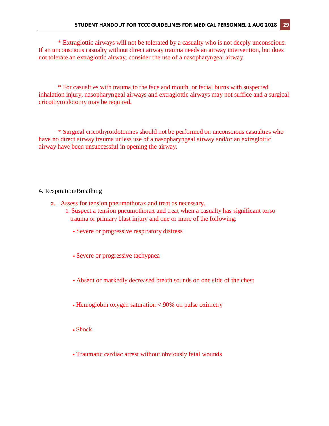\* Extraglottic airways will not be tolerated by a casualty who is not deeply unconscious. If an unconscious casualty without direct airway trauma needs an airway intervention, but does not tolerate an extraglottic airway, consider the use of a nasopharyngeal airway.

\* For casualties with trauma to the face and mouth, or facial burns with suspected inhalation injury, nasopharyngeal airways and extraglottic airways may not suffice and a surgical cricothyroidotomy may be required.

\* Surgical cricothyroidotomies should not be performed on unconscious casualties who have no direct airway trauma unless use of a nasopharyngeal airway and/or an extraglottic airway have been unsuccessful in opening the airway.

#### 4. Respiration/Breathing

- a. Assess for tension pneumothorax and treat as necessary.
	- 1. Suspect a tension pneumothorax and treat when a casualty has significant torso trauma or primary blast injury and one or more of the following:
		- **⁃** Severe or progressive respiratory distress
		- **⁃** Severe or progressive tachypnea
		- **⁃** Absent or markedly decreased breath sounds on one side of the chest
		- **⁃** Hemoglobin oxygen saturation < 90% on pulse oximetry
		- **⁃** Shock
		- **⁃** Traumatic cardiac arrest without obviously fatal wounds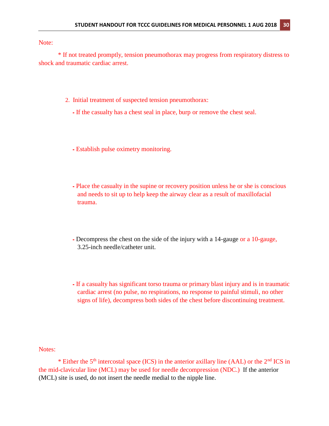Note:

\* If not treated promptly, tension pneumothorax may progress from respiratory distress to shock and traumatic cardiac arrest.

- 2. Initial treatment of suspected tension pneumothorax:
	- ⁃ If the casualty has a chest seal in place, burp or remove the chest seal.
	- ⁃ Establish pulse oximetry monitoring.
	- ⁃ Place the casualty in the supine or recovery position unless he or she is conscious and needs to sit up to help keep the airway clear as a result of maxillofacial trauma.
	- ⁃ Decompress the chest on the side of the injury with a 14-gauge or a 10-gauge, 3.25-inch needle/catheter unit.
	- ⁃ If a casualty has significant torso trauma or primary blast injury and is in traumatic cardiac arrest (no pulse, no respirations, no response to painful stimuli, no other signs of life), decompress both sides of the chest before discontinuing treatment.

Notes:

\* Either the  $5<sup>th</sup>$  intercostal space (ICS) in the anterior axillary line (AAL) or the  $2<sup>nd</sup>$  ICS in the mid-clavicular line (MCL) may be used for needle decompression (NDC.) If the anterior (MCL) site is used, do not insert the needle medial to the nipple line.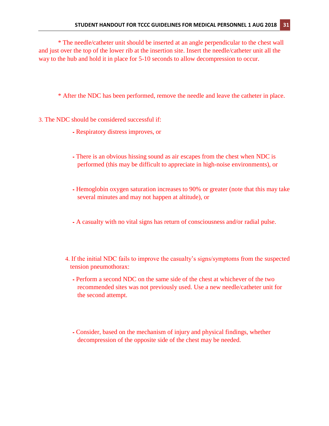\* The needle/catheter unit should be inserted at an angle perpendicular to the chest wall and just over the top of the lower rib at the insertion site. Insert the needle/catheter unit all the way to the hub and hold it in place for 5-10 seconds to allow decompression to occur.

\* After the NDC has been performed, remove the needle and leave the catheter in place.

- 3. The NDC should be considered successful if:
	- ⁃ Respiratory distress improves, or
	- ⁃ There is an obvious hissing sound as air escapes from the chest when NDC is performed (this may be difficult to appreciate in high-noise environments), or
	- ⁃ Hemoglobin oxygen saturation increases to 90% or greater (note that this may take several minutes and may not happen at altitude), or
	- ⁃ A casualty with no vital signs has return of consciousness and/or radial pulse.
	- 4. If the initial NDC fails to improve the casualty's signs/symptoms from the suspected tension pneumothorax:
		- ⁃ Perform a second NDC on the same side of the chest at whichever of the two recommended sites was not previously used. Use a new needle/catheter unit for the second attempt.
		- ⁃ Consider, based on the mechanism of injury and physical findings, whether decompression of the opposite side of the chest may be needed.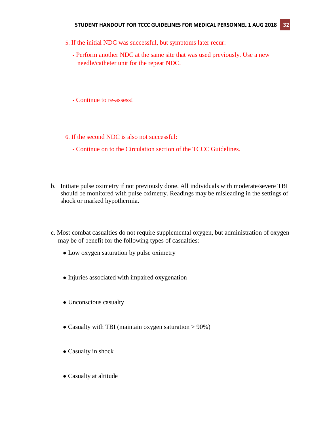- 5. If the initial NDC was successful, but symptoms later recur:
	- ⁃ Perform another NDC at the same site that was used previously. Use a new needle/catheter unit for the repeat NDC.

⁃ Continue to re-assess!

6. If the second NDC is also not successful:

- ⁃ Continue on to the Circulation section of the TCCC Guidelines.
- b. Initiate pulse oximetry if not previously done. All individuals with moderate/severe TBI should be monitored with pulse oximetry. Readings may be misleading in the settings of shock or marked hypothermia.
- c. Most combat casualties do not require supplemental oxygen, but administration of oxygen may be of benefit for the following types of casualties:
	- Low oxygen saturation by pulse oximetry
	- Injuries associated with impaired oxygenation
	- Unconscious casualty
	- Casualty with TBI (maintain oxygen saturation  $> 90\%$ )
	- Casualty in shock
	- Casualty at altitude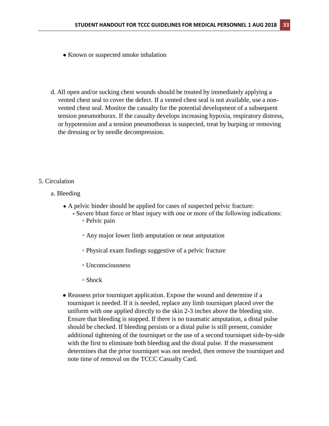- Known or suspected smoke inhalation
- d. All open and/or sucking chest wounds should be treated by immediately applying a vented chest seal to cover the defect. If a vented chest seal is not available, use a nonvented chest seal. Monitor the casualty for the potential development of a subsequent tension pneumothorax. If the casualty develops increasing hypoxia, respiratory distress, or hypotension and a tension pneumothorax is suspected, treat by burping or removing the dressing or by needle decompression.

### 5. Circulation

- a. Bleeding
	- A pelvic binder should be applied for cases of suspected pelvic fracture:
		- ⁃ Severe blunt force or blast injury with one or more of the following indications: ◦ Pelvic pain
			- Any major lower limb amputation or near amputation
			- Physical exam findings suggestive of a pelvic fracture
			- Unconsciousness
			- Shock
	- Reassess prior tourniquet application. Expose the wound and determine if a tourniquet is needed. If it is needed, replace any limb tourniquet placed over the uniform with one applied directly to the skin 2-3 inches above the bleeding site. Ensure that bleeding is stopped. If there is no traumatic amputation, a distal pulse should be checked. If bleeding persists or a distal pulse is still present, consider additional tightening of the tourniquet or the use of a second tourniquet side-by-side with the first to eliminate both bleeding and the distal pulse. If the reassessment determines that the prior tourniquet was not needed, then remove the tourniquet and note time of removal on the TCCC Casualty Card.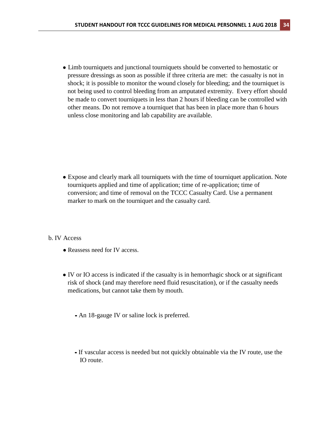● Limb tourniquets and junctional tourniquets should be converted to hemostatic or pressure dressings as soon as possible if three criteria are met: the casualty is not in shock; it is possible to monitor the wound closely for bleeding; and the tourniquet is not being used to control bleeding from an amputated extremity. Every effort should be made to convert tourniquets in less than 2 hours if bleeding can be controlled with other means. Do not remove a tourniquet that has been in place more than 6 hours unless close monitoring and lab capability are available.

• Expose and clearly mark all tourniquets with the time of tourniquet application. Note tourniquets applied and time of application; time of re-application; time of conversion; and time of removal on the TCCC Casualty Card. Use a permanent marker to mark on the tourniquet and the casualty card.

#### b. IV Access

- Reassess need for IV access.
- IV or IO access is indicated if the casualty is in hemorrhagic shock or at significant risk of shock (and may therefore need fluid resuscitation), or if the casualty needs medications, but cannot take them by mouth.
	- **⁃** An 18-gauge IV or saline lock is preferred.
	- **⁃** If vascular access is needed but not quickly obtainable via the IV route, use the IO route.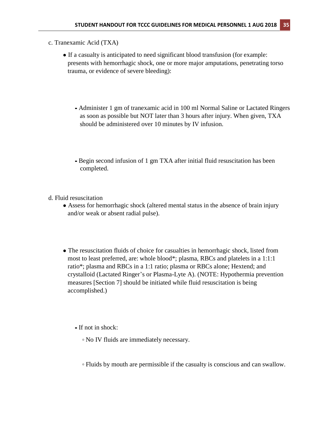- c. Tranexamic Acid (TXA)
	- If a casualty is anticipated to need significant blood transfusion (for example: presents with hemorrhagic shock, one or more major amputations, penetrating torso trauma, or evidence of severe bleeding):
		- **⁃** Administer 1 gm of tranexamic acid in 100 ml Normal Saline or Lactated Ringers as soon as possible but NOT later than 3 hours after injury. When given, TXA should be administered over 10 minutes by IV infusion.
		- **⁃** Begin second infusion of 1 gm TXA after initial fluid resuscitation has been completed.
- d. Fluid resuscitation
	- Assess for hemorrhagic shock (altered mental status in the absence of brain injury and/or weak or absent radial pulse).
	- The resuscitation fluids of choice for casualties in hemorrhagic shock, listed from most to least preferred, are: whole blood\*; plasma, RBCs and platelets in a 1:1:1 ratio\*; plasma and RBCs in a 1:1 ratio; plasma or RBCs alone; Hextend; and crystalloid (Lactated Ringer's or Plasma-Lyte A). (NOTE: Hypothermia prevention measures [Section 7] should be initiated while fluid resuscitation is being accomplished.)
		- **⁃** If not in shock:
			- **◦** No IV fluids are immediately necessary.
			- **◦** Fluids by mouth are permissible if the casualty is conscious and can swallow.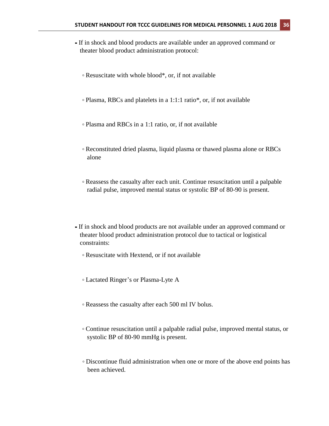- **⁃** If in shock and blood products are available under an approved command or theater blood product administration protocol:
	- **◦** Resuscitate with whole blood\*, or, if not available
	- **◦** Plasma, RBCs and platelets in a 1:1:1 ratio\*, or, if not available
	- **◦** Plasma and RBCs in a 1:1 ratio, or, if not available
	- **◦** Reconstituted dried plasma, liquid plasma or thawed plasma alone or RBCs alone
	- **◦** Reassess the casualty after each unit. Continue resuscitation until a palpable radial pulse, improved mental status or systolic BP of 80-90 is present.
- **⁃** If in shock and blood products are not available under an approved command or theater blood product administration protocol due to tactical or logistical constraints:
	- **◦** Resuscitate with Hextend, or if not available
	- **◦** Lactated Ringer's or Plasma-Lyte A
	- **◦** Reassess the casualty after each 500 ml IV bolus.
	- **◦** Continue resuscitation until a palpable radial pulse, improved mental status, or systolic BP of 80-90 mmHg is present.
	- **◦** Discontinue fluid administration when one or more of the above end points has been achieved.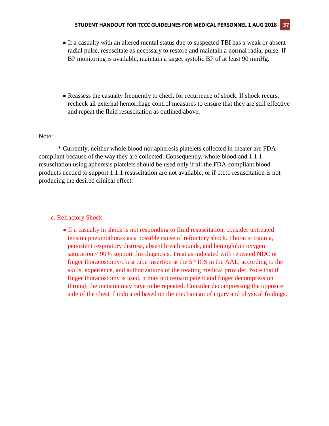- If a casualty with an altered mental status due to suspected TBI has a weak or absent radial pulse, resuscitate as necessary to restore and maintain a normal radial pulse. If BP monitoring is available, maintain a target systolic BP of at least 90 mmHg.
- Reassess the casualty frequently to check for recurrence of shock. If shock recurs, recheck all external hemorrhage control measures to ensure that they are still effective and repeat the fluid resuscitation as outlined above.

#### Note:

\* Currently, neither whole blood nor apheresis platelets collected in theater are FDAcompliant because of the way they are collected. Consequently, whole blood and 1:1:1 resuscitation using apheresis platelets should be used only if all the FDA-compliant blood products needed to support 1:1:1 resuscitation are not available, or if 1:1:1 resuscitation is not producing the desired clinical effect.

#### e. Refractory Shock

• If a casualty in shock is not responding to fluid resuscitation, consider untreated tension pneumothorax as a possible cause of refractory shock. Thoracic trauma, persistent respiratory distress, absent breath sounds, and hemoglobin oxygen saturation < 90% support this diagnosis. Treat as indicated with repeated NDC or finger thoracostomy/chest tube insertion at the  $5<sup>th</sup> ICS$  in the AAL, according to the skills, experience, and authorizations of the treating medical provider. Note that if finger thoracostomy is used, it may not remain patent and finger decompression through the incision may have to be repeated. Consider decompressing the opposite side of the chest if indicated based on the mechanism of injury and physical findings.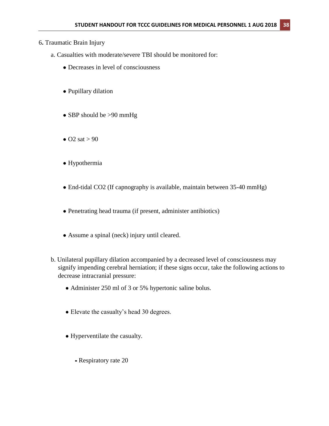# 6**.** Traumatic Brain Injury

- a. Casualties with moderate/severe TBI should be monitored for:
	- Decreases in level of consciousness
	- Pupillary dilation
	- SBP should be >90 mmHg
	- $\bullet$  O2 sat > 90
	- Hypothermia
	- End-tidal CO2 (If capnography is available, maintain between 35-40 mmHg)
	- Penetrating head trauma (if present, administer antibiotics)
	- Assume a spinal (neck) injury until cleared.
- b. Unilateral pupillary dilation accompanied by a decreased level of consciousness may signify impending cerebral herniation; if these signs occur, take the following actions to decrease intracranial pressure:
	- Administer 250 ml of 3 or 5% hypertonic saline bolus.
	- Elevate the casualty's head 30 degrees.
	- Hyperventilate the casualty.
		- **⁃** Respiratory rate 20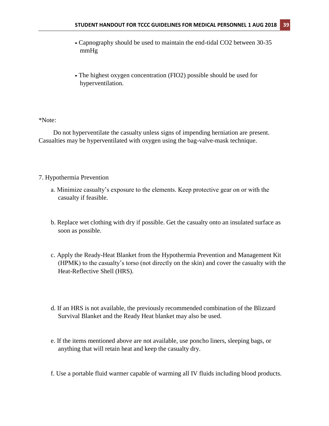- **⁃** Capnography should be used to maintain the end-tidal CO2 between 30-35 mmHg
- **⁃** The highest oxygen concentration (FIO2) possible should be used for hyperventilation.

#### \*Note:

Do not hyperventilate the casualty unless signs of impending herniation are present. Casualties may be hyperventilated with oxygen using the bag-valve-mask technique.

#### 7. Hypothermia Prevention

- a. Minimize casualty's exposure to the elements. Keep protective gear on or with the casualty if feasible.
- b. Replace wet clothing with dry if possible. Get the casualty onto an insulated surface as soon as possible.
- c. Apply the Ready-Heat Blanket from the Hypothermia Prevention and Management Kit (HPMK) to the casualty's torso (not directly on the skin) and cover the casualty with the Heat-Reflective Shell (HRS).
- d. If an HRS is not available, the previously recommended combination of the Blizzard Survival Blanket and the Ready Heat blanket may also be used.
- e. If the items mentioned above are not available, use poncho liners, sleeping bags, or anything that will retain heat and keep the casualty dry.
- f. Use a portable fluid warmer capable of warming all IV fluids including blood products.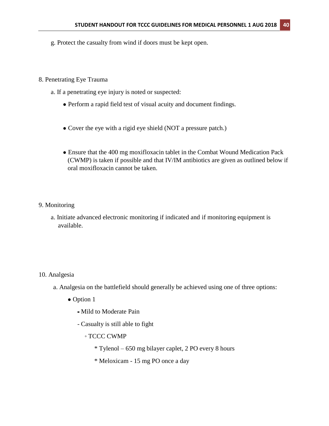g. Protect the casualty from wind if doors must be kept open.

#### 8. Penetrating Eye Trauma

- a. If a penetrating eye injury is noted or suspected:
	- Perform a rapid field test of visual acuity and document findings.
	- Cover the eye with a rigid eye shield (NOT a pressure patch.)
	- Ensure that the 400 mg moxifloxacin tablet in the Combat Wound Medication Pack (CWMP) is taken if possible and that IV/IM antibiotics are given as outlined below if oral moxifloxacin cannot be taken.

### 9. Monitoring

a. Initiate advanced electronic monitoring if indicated and if monitoring equipment is available.

#### 10. Analgesia

- a. Analgesia on the battlefield should generally be achieved using one of three options:
	- Option 1
		- **⁃** Mild to Moderate Pain
		- Casualty is still able to fight
			- TCCC CWMP
				- \* Tylenol 650 mg bilayer caplet, 2 PO every 8 hours
				- \* Meloxicam 15 mg PO once a day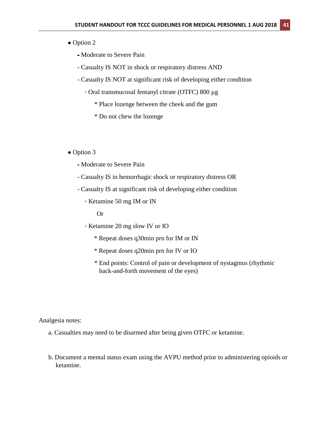#### • Option 2

- **⁃** Moderate to Severe Pain
- Casualty IS NOT in shock or respiratory distress AND
- Casualty IS NOT at significant risk of developing either condition
	- Oral transmucosal fentanyl citrate (OTFC) 800 µg
		- \* Place lozenge between the cheek and the gum
		- \* Do not chew the lozenge

#### • Option 3

- ⁃ Moderate to Severe Pain
- Casualty IS in hemorrhagic shock or respiratory distress OR
- Casualty IS at significant risk of developing either condition
	- Ketamine 50 mg IM or IN

Or

- Ketamine 20 mg slow IV or IO
	- \* Repeat doses q30min prn for IM or IN
	- \* Repeat doses q20min prn for IV or IO
	- \* End points: Control of pain or development of nystagmus (rhythmic back-and-forth movement of the eyes)

Analgesia notes:

- a. Casualties may need to be disarmed after being given OTFC or ketamine.
- b. Document a mental status exam using the AVPU method prior to administering opioids or ketamine.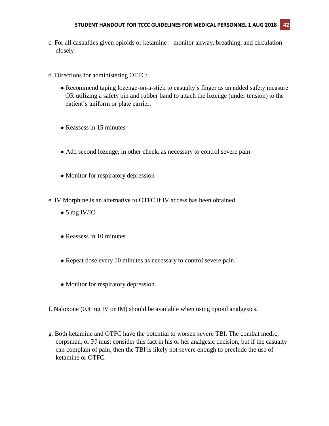- c. For all casualties given opioids or ketamine monitor airway, breathing, and circulation closely
- d. Directions for administering OTFC:
	- Recommend taping lozenge-on-a-stick to casualty's finger as an added safety measure OR utilizing a safety pin and rubber band to attach the lozenge (under tension) to the patient's uniform or plate carrier.
	- Reassess in 15 minutes
	- Add second lozenge, in other cheek, as necessary to control severe pain
	- Monitor for respiratory depression
- e. IV Morphine is an alternative to OTFC if IV access has been obtained
	- $\bullet$  5 mg IV/IO
	- Reassess in 10 minutes.
	- Repeat dose every 10 minutes as necessary to control severe pain.
	- Monitor for respiratory depression.
- f. Naloxone (0.4 mg IV or IM) should be available when using opioid analgesics.
- g. Both ketamine and OTFC have the potential to worsen severe TBI. The combat medic, corpsman, or PJ must consider this fact in his or her analgesic decision, but if the casualty can complain of pain, then the TBI is likely not severe enough to preclude the use of ketamine or OTFC.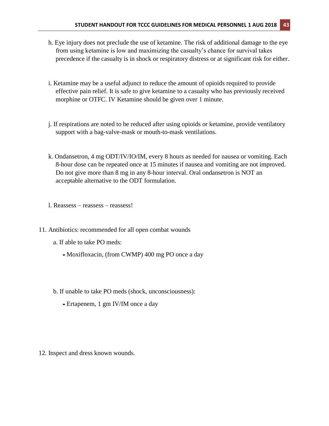- h. Eye injury does not preclude the use of ketamine. The risk of additional damage to the eye from using ketamine is low and maximizing the casualty's chance for survival takes precedence if the casualty is in shock or respiratory distress or at significant risk for either.
- i. Ketamine may be a useful adjunct to reduce the amount of opioids required to provide effective pain relief. It is safe to give ketamine to a casualty who has previously received morphine or OTFC. IV Ketamine should be given over 1 minute.
- j. If respirations are noted to be reduced after using opioids or ketamine, provide ventilatory support with a bag-valve-mask or mouth-to-mask ventilations.
- k. Ondansetron, 4 mg ODT/IV/IO/IM, every 8 hours as needed for nausea or vomiting. Each 8-hour dose can be repeated once at 15 minutes if nausea and vomiting are not improved. Do not give more than 8 mg in any 8-hour interval. Oral ondansetron is NOT an acceptable alternative to the ODT formulation.
- l. Reassess reassess reassess!
- 11. Antibiotics: recommended for all open combat wounds
	- a. If able to take PO meds:
		- **⁃** Moxifloxacin, (from CWMP) 400 mg PO once a day
	- b. If unable to take PO meds (shock, unconsciousness):
		- **⁃** Ertapenem, 1 gm IV/IM once a day

12. Inspect and dress known wounds.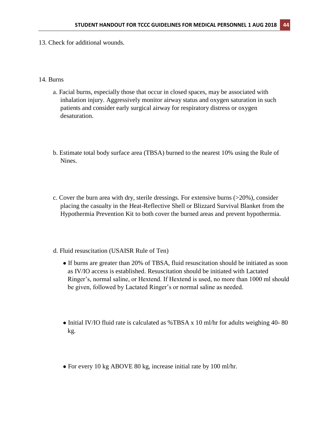13. Check for additional wounds.

#### 14. Burns

- a. Facial burns, especially those that occur in closed spaces, may be associated with inhalation injury. Aggressively monitor airway status and oxygen saturation in such patients and consider early surgical airway for respiratory distress or oxygen desaturation.
- b. Estimate total body surface area (TBSA) burned to the nearest 10% using the Rule of Nines.
- c. Cover the burn area with dry, sterile dressings. For extensive burns (>20%), consider placing the casualty in the Heat-Reflective Shell or Blizzard Survival Blanket from the Hypothermia Prevention Kit to both cover the burned areas and prevent hypothermia.
- d. Fluid resuscitation (USAISR Rule of Ten)
	- If burns are greater than 20% of TBSA, fluid resuscitation should be initiated as soon as IV/IO access is established. Resuscitation should be initiated with Lactated Ringer's, normal saline, or Hextend. If Hextend is used, no more than 1000 ml should be given, followed by Lactated Ringer's or normal saline as needed.
	- Initial IV/IO fluid rate is calculated as %TBSA x 10 ml/hr for adults weighing 40-80 kg.
	- For every 10 kg ABOVE 80 kg, increase initial rate by 100 ml/hr.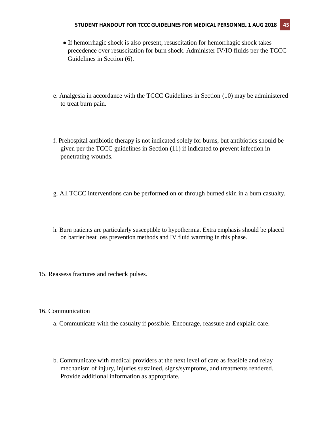- If hemorrhagic shock is also present, resuscitation for hemorrhagic shock takes precedence over resuscitation for burn shock. Administer IV/IO fluids per the TCCC Guidelines in Section (6).
- e. Analgesia in accordance with the TCCC Guidelines in Section (10) may be administered to treat burn pain.
- f. Prehospital antibiotic therapy is not indicated solely for burns, but antibiotics should be given per the TCCC guidelines in Section (11) if indicated to prevent infection in penetrating wounds.
- g. All TCCC interventions can be performed on or through burned skin in a burn casualty.
- h. Burn patients are particularly susceptible to hypothermia. Extra emphasis should be placed on barrier heat loss prevention methods and IV fluid warming in this phase.
- 15. Reassess fractures and recheck pulses.
- 16. Communication
	- a. Communicate with the casualty if possible. Encourage, reassure and explain care.
	- b. Communicate with medical providers at the next level of care as feasible and relay mechanism of injury, injuries sustained, signs/symptoms, and treatments rendered. Provide additional information as appropriate.